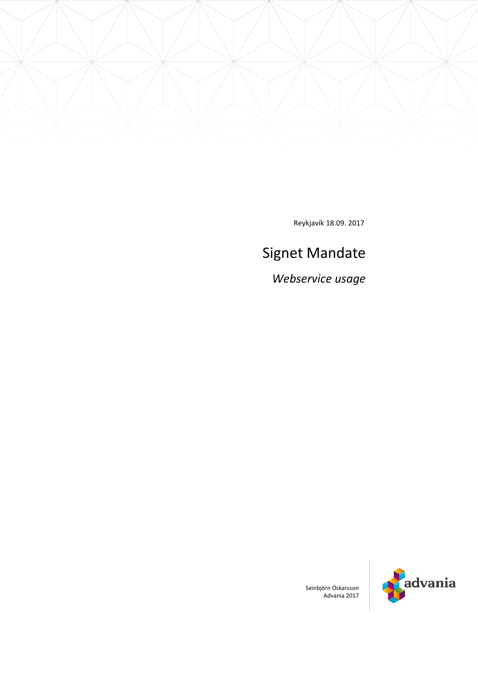

Reykjavík 18.09. 2017

# Signet Mandate

*Webservice usage*



Seinbjörn Óskarsson Advania 2017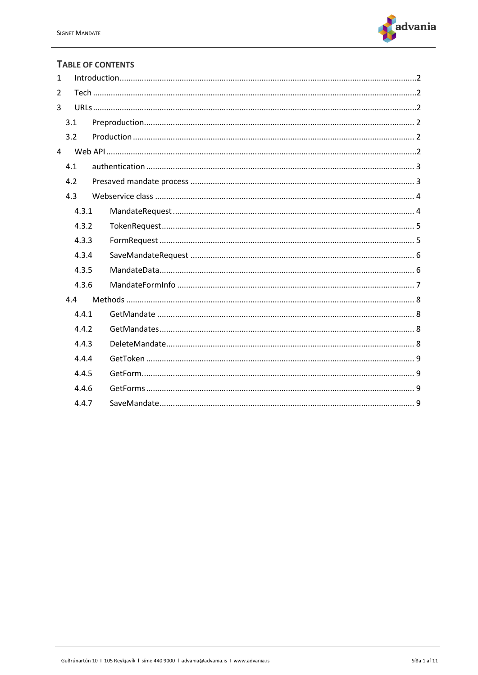

### **TABLE OF CONTENTS**

| 1   |       |  |  |  |
|-----|-------|--|--|--|
| 2   |       |  |  |  |
| 3   |       |  |  |  |
|     | 3.1   |  |  |  |
|     | 3.2   |  |  |  |
| 4   |       |  |  |  |
|     | 4.1   |  |  |  |
|     | 4.2   |  |  |  |
| 4.3 |       |  |  |  |
|     | 4.3.1 |  |  |  |
|     | 4.3.2 |  |  |  |
|     | 4.3.3 |  |  |  |
|     | 4.3.4 |  |  |  |
|     | 4.3.5 |  |  |  |
|     | 4.3.6 |  |  |  |
|     | 4.4   |  |  |  |
|     | 4.4.1 |  |  |  |
|     | 4.4.2 |  |  |  |
|     | 4.4.3 |  |  |  |
|     | 4.4.4 |  |  |  |
|     | 4.4.5 |  |  |  |
|     | 4.4.6 |  |  |  |
|     | 4.4.7 |  |  |  |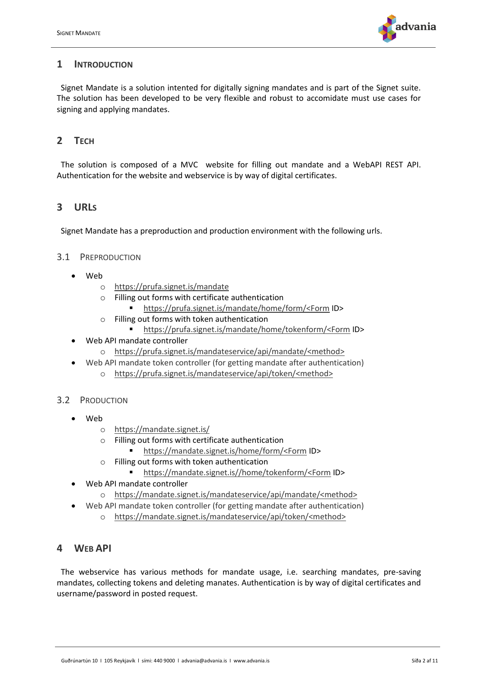

## <span id="page-2-0"></span>**1 INTRODUCTION**

 Signet Mandate is a solution intented for digitally signing mandates and is part of the Signet suite. The solution has been developed to be very flexible and robust to accomidate must use cases for signing and applying mandates.

# <span id="page-2-1"></span>**2 TECH**

 The solution is composed of a MVC website for filling out mandate and a WebAPI REST API. Authentication for the website and webservice is by way of digital certificates.

# <span id="page-2-2"></span>**3 URLS**

Signet Mandate has a preproduction and production environment with the following urls.

#### <span id="page-2-3"></span>3.1 PREPRODUCTION

- Web
	- o <https://prufa.signet.is/mandate>
	- o Filling out forms with certificate authentication
		- [https://prufa.signet.is/mandate/home/form/<Form](https://prufa.signet.is/mandate/home/form/%3cForm) ID>
	- o Filling out forms with token authentication
		- [https://prufa.signet.is/mandate/home/tokenform/<Form](https://prufa.signet.is/mandate/home/tokenform/%3cForm) ID>
- Web API mandate controller
	- o [https://prufa.signet.is/mandateservice/api/mandate/<method>](https://prufa.signet.is/mandateservice/api/mandate/%3cmethod)
	- Web API mandate token controller (for getting mandate after authentication)
		- o [https://prufa.signet.is/mandateservice/api/token/<method>](https://prufa.signet.is/mandateservice/api/token/%3cmethod%3e)

### <span id="page-2-4"></span>3.2 PRODUCTION

- Web
	- o [https://mandate.signet.is/](https://mandate.signet.is/mandate)
	- o Filling out forms with certificate authentication
		- [https://mandate.signet.is/home/form/<Form](https://mandate.signet.is/home/form/%3cForm) ID>
	- o Filling out forms with token authentication
		- [https://mandate.signet.is//home/tokenform/<Form](https://mandate.signet.is/home/tokenform/%3cForm) ID>
- <span id="page-2-5"></span>• Web API mandate controller
	- o [https://mandate.signet.is/mandateservice/api/mandate/<method>](https://mandate.signet.is/mandateservice/api/mandate/%3cmethod)
- Web API mandate token controller (for getting mandate after authentication) o [https://mandate.signet.is/mandateservice/api/token/<method>](https://mandate.signet.is/mandateservice/api/token/%3cmethod%3e)

# **4 WEB API**

 The webservice has various methods for mandate usage, i.e. searching mandates, pre-saving mandates, collecting tokens and deleting manates. Authentication is by way of digital certificates and username/password in posted request.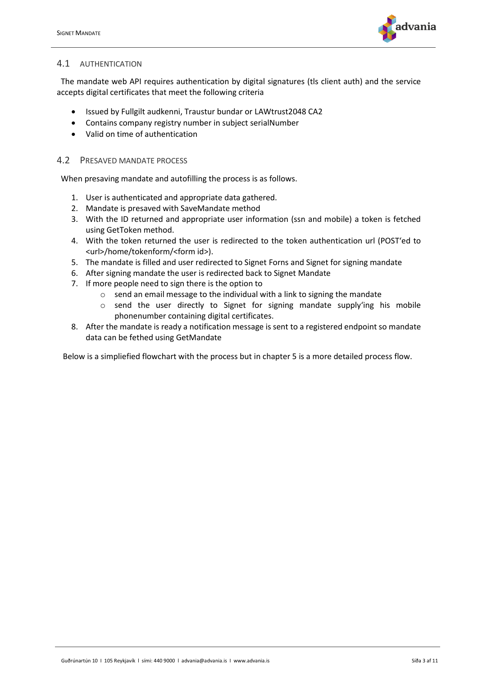

### <span id="page-3-0"></span>4.1 AUTHENTICATION

 The mandate web API requires authentication by digital signatures (tls client auth) and the service accepts digital certificates that meet the following criteria

- Issued by Fullgilt audkenni, Traustur bundar or LAWtrust2048 CA2
- Contains company registry number in subject serialNumber
- Valid on time of authentication

#### <span id="page-3-1"></span>4.2 PRESAVED MANDATE PROCESS

When presaving mandate and autofilling the process is as follows.

- 1. User is authenticated and appropriate data gathered.
- 2. Mandate is presaved with SaveMandate method
- 3. With the ID returned and appropriate user information (ssn and mobile) a token is fetched using GetToken method.
- 4. With the token returned the user is redirected to the token authentication url (POST'ed to <url>/home/tokenform/<form id>).
- 5. The mandate is filled and user redirected to Signet Forns and Signet for signing mandate
- 6. After signing mandate the user is redirected back to Signet Mandate
- 7. If more people need to sign there is the option to
	- $\circ$  send an email message to the individual with a link to signing the mandate
	- $\circ$  send the user directly to Signet for signing mandate supply'ing his mobile phonenumber containing digital certificates.
- 8. After the mandate is ready a notification message is sent to a registered endpoint so mandate data can be fethed using GetMandate

Below is a simpliefied flowchart with the process but in chapter 5 is a more detailed process flow.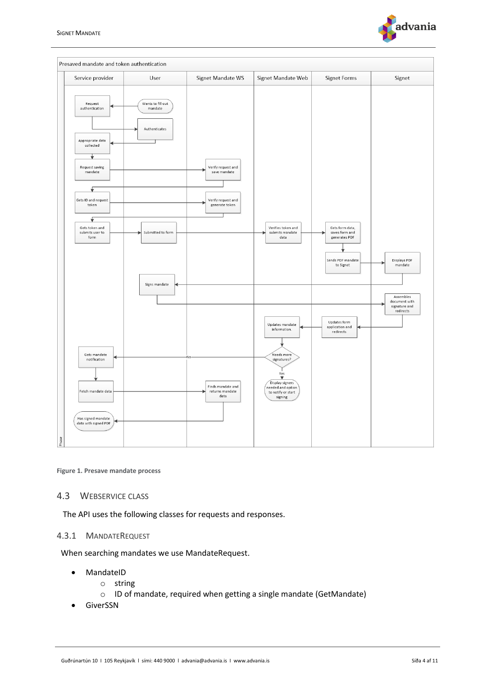



**Figure 1. Presave mandate process**

#### <span id="page-4-0"></span>4.3 WEBSERVICE CLASS

The API uses the following classes for requests and responses.

#### <span id="page-4-1"></span>4.3.1 MANDATEREQUEST

When searching mandates we use MandateRequest.

- MandateID
	- o string
	- o ID of mandate, required when getting a single mandate (GetMandate)
- GiverSSN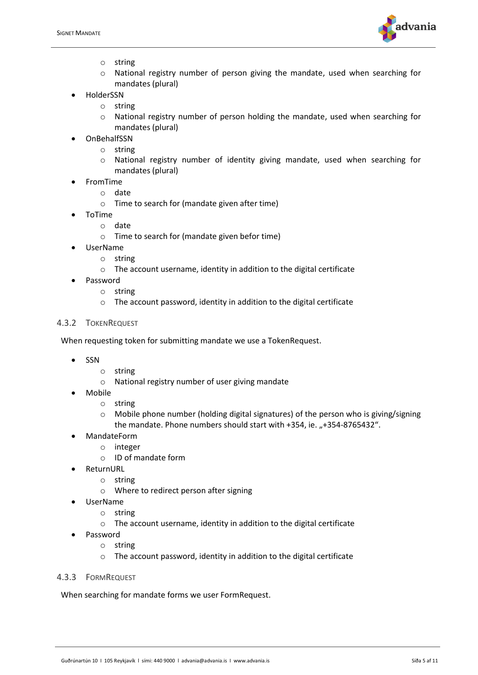

- o string
- o National registry number of person giving the mandate, used when searching for mandates (plural)
- HolderSSN
	- o string
		- o National registry number of person holding the mandate, used when searching for mandates (plural)
- OnBehalfSSN
	- o string
		- o National registry number of identity giving mandate, used when searching for mandates (plural)
- FromTime
	- o date
		- o Time to search for (mandate given after time)
- ToTime
	- o date
	- o Time to search for (mandate given befor time)
- UserName
	- o string
	- o The account username, identity in addition to the digital certificate
- Password
	- o string
	- o The account password, identity in addition to the digital certificate

#### <span id="page-5-0"></span>4.3.2 TOKENREQUEST

When requesting token for submitting mandate we use a TokenRequest.

- SSN
	- o string
	- o National registry number of user giving mandate
- Mobile
	- o string
	- o Mobile phone number (holding digital signatures) of the person who is giving/signing the mandate. Phone numbers should start with +354, ie. "+354-8765432".
- MandateForm
	- o integer
		- o ID of mandate form
- ReturnURL
	- o string
	- o Where to redirect person after signing
- UserName
	- o string
	- o The account username, identity in addition to the digital certificate
- Password
	- o string
	- o The account password, identity in addition to the digital certificate
- <span id="page-5-1"></span>4.3.3 FORMREQUEST

When searching for mandate forms we user FormRequest.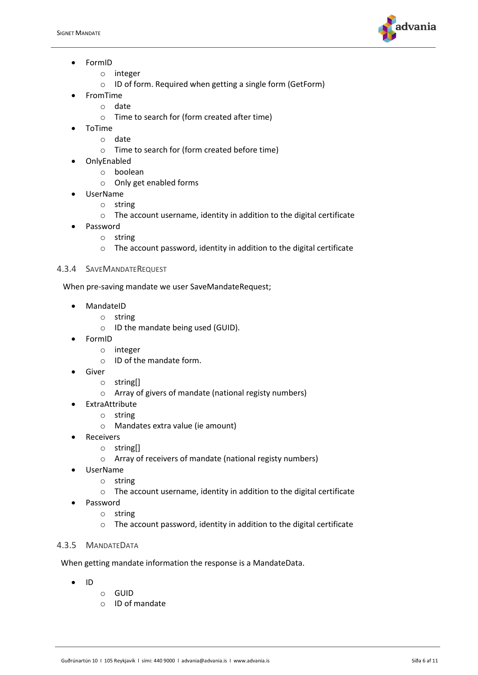

- FormID
	- o integer
	- o ID of form. Required when getting a single form (GetForm)
- FromTime
	- o date
		- o Time to search for (form created after time)
- ToTime
	- o date
	- o Time to search for (form created before time)
- OnlyEnabled
	- o boolean
	- o Only get enabled forms
	- UserName
		- o string
		- o The account username, identity in addition to the digital certificate
- Password
	- o string
	- o The account password, identity in addition to the digital certificate

#### <span id="page-6-0"></span>4.3.4 SAVEMANDATEREQUEST

When pre-saving mandate we user SaveMandateRequest;

- **MandateID** 
	- o string
	- o ID the mandate being used (GUID).
- FormID
	- o integer
		- o ID of the mandate form.
- **Giver** 
	- o string[]
	- o Array of givers of mandate (national registy numbers)
	- ExtraAttribute
		- o string
		- o Mandates extra value (ie amount)
- **Receivers** 
	- o string[]
	- o Array of receivers of mandate (national registy numbers)
- UserName
	- o string
	- o The account username, identity in addition to the digital certificate
- Password
	- o string
	- o The account password, identity in addition to the digital certificate

#### <span id="page-6-1"></span>4.3.5 MANDATEDATA

When getting mandate information the response is a MandateData.

- ID
	- o GUID
	- o ID of mandate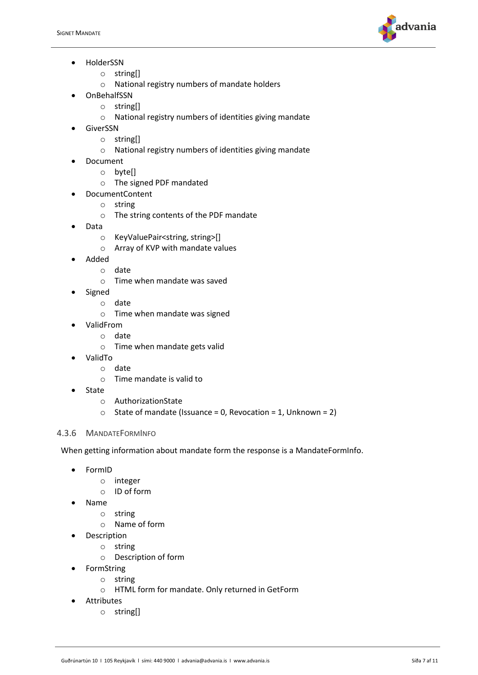

- HolderSSN
	- o string[]
	- o National registry numbers of mandate holders
- OnBehalfSSN
	- o string[]
	- o National registry numbers of identities giving mandate
- **GiverSSN** 
	- o string[]
	- o National registry numbers of identities giving mandate
- Document
	- o byte[]
	- o The signed PDF mandated
- DocumentContent
	- o string
	- o The string contents of the PDF mandate
- Data
	- o KeyValuePair<string, string>[]
	- o Array of KVP with mandate values
- Added
	- o date
	- o Time when mandate was saved
	- Signed
		- o date
		- o Time when mandate was signed
- ValidFrom
	- o date
		- o Time when mandate gets valid
- ValidTo
	- o date
	- o Time mandate is valid to
- **State** 
	- o AuthorizationState
	- $\circ$  State of mandate (Issuance = 0, Revocation = 1, Unknown = 2)

### <span id="page-7-0"></span>4.3.6 MANDATEFORMINFO

When getting information about mandate form the response is a MandateFormInfo.

- FormID
	- o integer
	- o ID of form
- Name
	- o string
	- o Name of form
- Description
	- o string
		- o Description of form
- **FormString** 
	- o string
	- o HTML form for mandate. Only returned in GetForm
- **Attributes** 
	- o string[]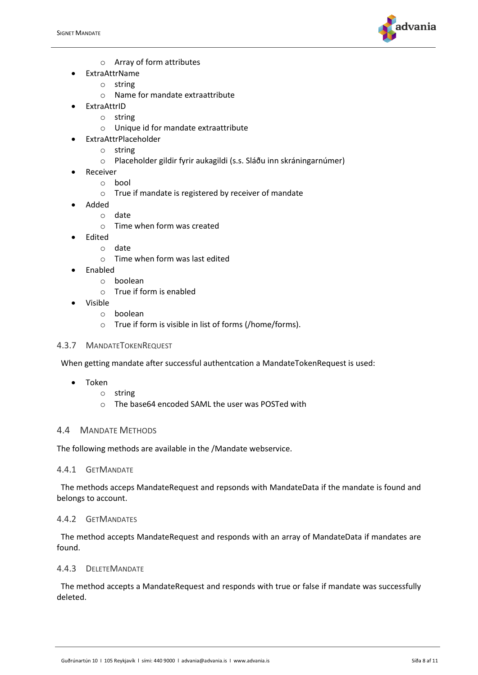

- o Array of form attributes
- ExtraAttrName
	- o string
	- o Name for mandate extraattribute
- ExtraAttrID
	- o string
	- o Unique id for mandate extraattribute
- ExtraAttrPlaceholder
	- o string
	- o Placeholder gildir fyrir aukagildi (s.s. Sláðu inn skráningarnúmer)
- Receiver
	- o bool
	- o True if mandate is registered by receiver of mandate
- Added
	- o date
	- o Time when form was created
- Edited
	- o date
		- o Time when form was last edited
- Enabled
	- o boolean
	- o True if form is enabled
- Visible
	- o boolean
	- o True if form is visible in list of forms (/home/forms).

#### 4.3.7 MANDATETOKENREQUEST

When getting mandate after successful authentcation a MandateTokenRequest is used:

- Token
	- o string
	- o The base64 encoded SAML the user was POSTed with

#### <span id="page-8-0"></span>4.4 MANDATE METHODS

The following methods are available in the /Mandate webservice.

#### <span id="page-8-1"></span>4.4.1 GETMANDATE

 The methods acceps MandateRequest and repsonds with MandateData if the mandate is found and belongs to account.

#### <span id="page-8-2"></span>4.4.2 GETMANDATES

 The method accepts MandateRequest and responds with an array of MandateData if mandates are found.

#### <span id="page-8-3"></span>4.4.3 DELETEMANDATE

 The method accepts a MandateRequest and responds with true or false if mandate was successfully deleted.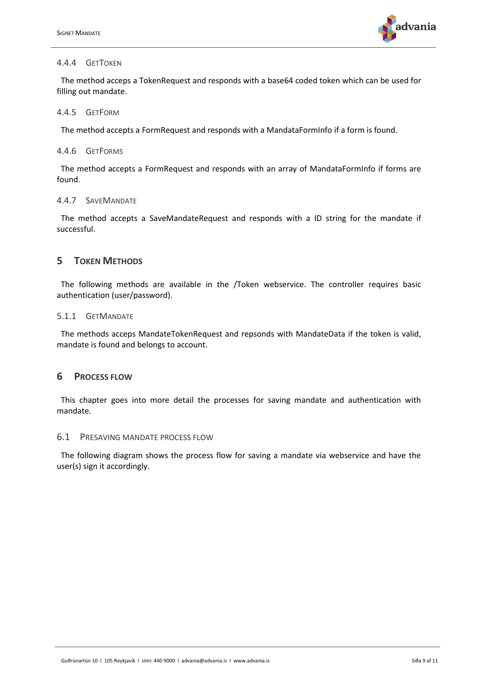

#### <span id="page-9-0"></span>4.4.4 GETTOKEN

 The method acceps a TokenRequest and responds with a base64 coded token which can be used for filling out mandate.

#### <span id="page-9-1"></span>4.4.5 GETFORM

The method accepts a FormRequest and responds with a MandataFormInfo if a form is found.

#### <span id="page-9-2"></span>4.4.6 GETFORMS

 The method accepts a FormRequest and responds with an array of MandataFormInfo if forms are found.

#### <span id="page-9-3"></span>4.4.7 SAVEMANDATE

 The method accepts a SaveMandateRequest and responds with a ID string for the mandate if successful.

### **5 TOKEN METHODS**

 The following methods are available in the /Token webservice. The controller requires basic authentication (user/password).

#### 5.1.1 GETMANDATE

 The methods acceps MandateTokenRequest and repsonds with MandateData if the token is valid, mandate is found and belongs to account.

#### **6 PROCESS FLOW**

 This chapter goes into more detail the processes for saving mandate and authentication with mandate.

#### 6.1 PRESAVING MANDATE PROCESS FLOW

 The following diagram shows the process flow for saving a mandate via webservice and have the user(s) sign it accordingly.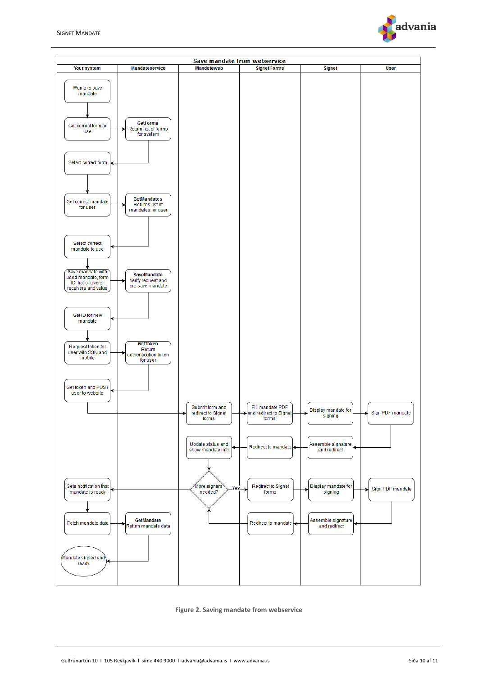